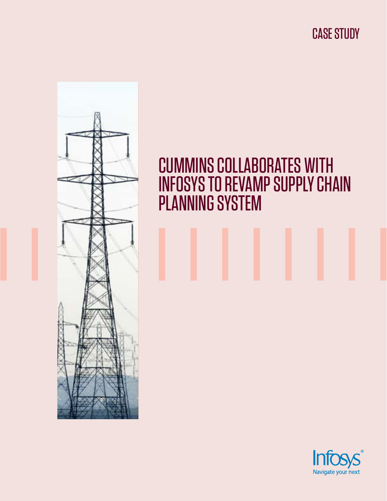CASE STUDY



# CUMMINS COLLABORATES WITH INFOSYS TO REVAMP SUPPLY CHAIN PLANNING SYSTEM

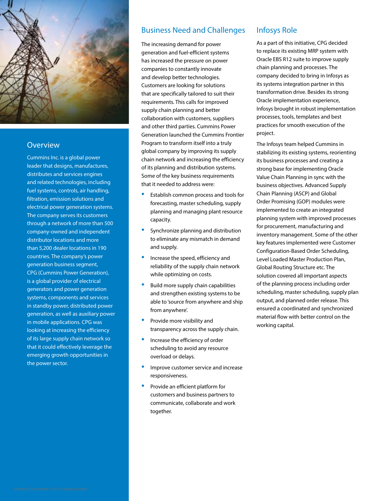

### **Overview**

Cummins Inc. is a global power leader that designs, manufactures, distributes and services engines and related technologies, including fuel systems, controls, air handling, filtration, emission solutions and electrical power generation systems. The company serves its customers through a network of more than 500 company-owned and independent distributor locations and more than 5,200 dealer locations in 190 countries. The company's power generation business segment, CPG (Cummins Power Generation), is a global provider of electrical generators and power generation systems, components and services in standby power, distributed power generation, as well as auxiliary power in mobile applications. CPG was looking at increasing the efficiency of its large supply chain network so that it could effectively leverage the emerging growth opportunities in the power sector.

### Business Need and Challenges

The increasing demand for power generation and fuel-efficient systems has increased the pressure on power companies to constantly innovate and develop better technologies. Customers are looking for solutions that are specifically tailored to suit their requirements. This calls for improved supply chain planning and better collaboration with customers, suppliers and other third parties. Cummins Power Generation launched the Cummins Frontier Program to transform itself into a truly global company by improving its supply chain network and increasing the efficiency of its planning and distribution systems. Some of the key business requirements that it needed to address were:

- Establish common process and tools for forecasting, master scheduling, supply planning and managing plant resource capacity.
- Synchronize planning and distribution to eliminate any mismatch in demand and supply.
- Increase the speed, efficiency and reliability of the supply chain network while optimizing on costs.
- Build more supply chain capabilities and strengthen existing systems to be able to 'source from anywhere and ship from anywhere'.
- Provide more visibility and transparency across the supply chain.
- Increase the efficiency of order scheduling to avoid any resource overload or delays.
- Improve customer service and increase responsiveness.
- Provide an efficient platform for customers and business partners to communicate, collaborate and work together.

#### Infosys Role

As a part of this initiative, CPG decided to replace its existing MRP system with Oracle EBS R12 suite to improve supply chain planning and processes. The company decided to bring in Infosys as its systems integration partner in this transformation drive. Besides its strong Oracle implementation experience, Infosys brought in robust implementation processes, tools, templates and best practices for smooth execution of the project.

The Infosys team helped Cummins in stabilizing its existing systems, reorienting its business processes and creating a strong base for implementing Oracle Value Chain Planning in sync with the business objectives. Advanced Supply Chain Planning (ASCP) and Global Order Promising (GOP) modules were implemented to create an integrated planning system with improved processes for procurement, manufacturing and inventory management. Some of the other key features implemented were Customer Configuration-Based Order Scheduling, Level Loaded Master Production Plan, Global Routing Structure etc. The solution covered all important aspects of the planning process including order scheduling, master scheduling, supply plan output, and planned order release. This ensured a coordinated and synchronized material flow with better control on the working capital.

External Document © 2018 Infosys Limited  $\blacksquare$ External Document  $\heartsuit$  2018 Infosys Limited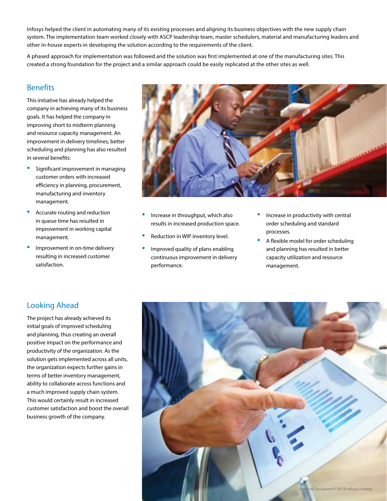Infosys helped the client in automating many of its existing processes and aligning its business objectives with the new supply chain system. The implementation team worked closely with ASCP leadership team, master schedulers, material and manufacturing leaders and other in-house experts in developing the solution according to the requirements of the client.

A phased approach for implementation was followed and the solution was first implemented at one of the manufacturing sites. This created a strong foundation for the project and a similar approach could be easily replicated at the other sites as well.

#### **Benefits**

This initiative has already helped the company in achieving many of its business goals. It has helped the company in improving short to midterm planning and resource capacity management. An improvement in delivery timelines, better scheduling and planning has also resulted in several benefits:

- Significant improvement in managing customer orders with increased efficiency in planning, procurement, manufacturing and inventory management.
- Accurate routing and reduction in queue time has resulted in improvement in working capital management.
- Improvement in on-time delivery resulting in increased customer satisfaction.



- Increase in throughput, which also results in increased production space.
- Reduction in WIP inventory level.
- Improved quality of plans enabling continuous improvement in delivery performance.
- Increase in productivity with central order scheduling and standard processes.
- A flexible model for order scheduling and planning has resulted in better capacity utilization and resource management.

## Looking Ahead

The project has already achieved its initial goals of improved scheduling and planning, thus creating an overall positive impact on the performance and productivity of the organization. As the solution gets implemented across all units, the organization expects further gains in terms of better inventory management, ability to collaborate across functions and a much improved supply chain system. This would certainly result in increased customer satisfaction and boost the overall business growth of the company.